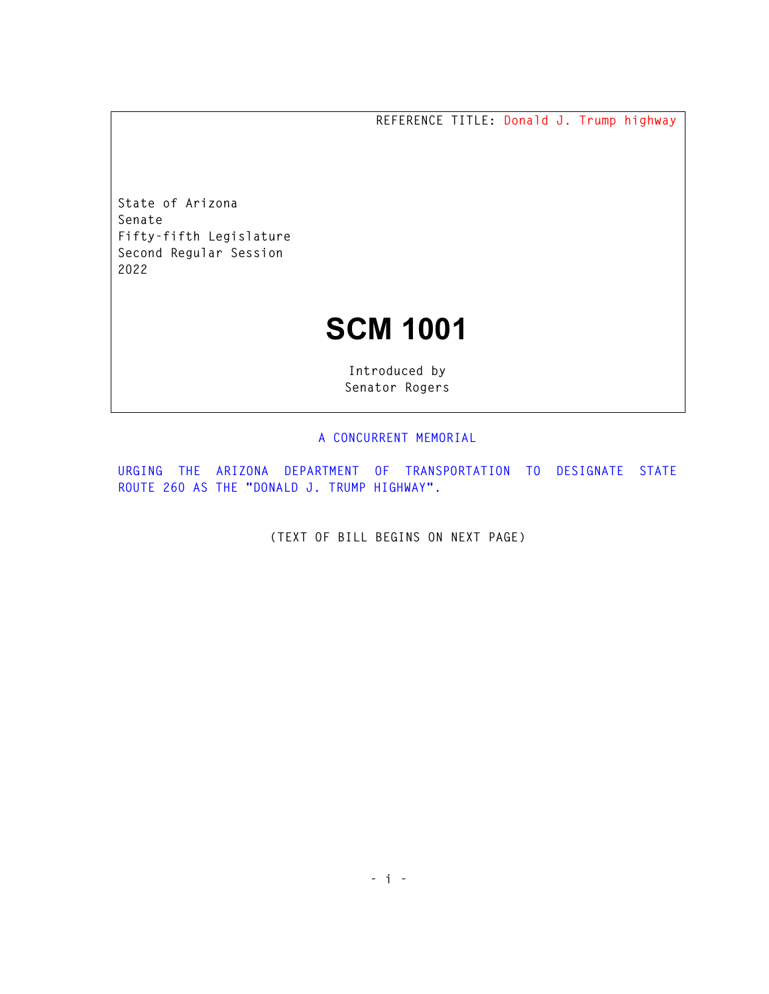**REFERENCE TITLE: Donald J. Trump highway** 

**State of Arizona Senate Fifty-fifth Legislature Second Regular Session 2022** 

## **SCM 1001**

**Introduced by Senator Rogers** 

## **A CONCURRENT MEMORIAL**

**URGING THE ARIZONA DEPARTMENT OF TRANSPORTATION TO DESIGNATE STATE ROUTE 260 AS THE "DONALD J. TRUMP HIGHWAY".** 

**(TEXT OF BILL BEGINS ON NEXT PAGE)**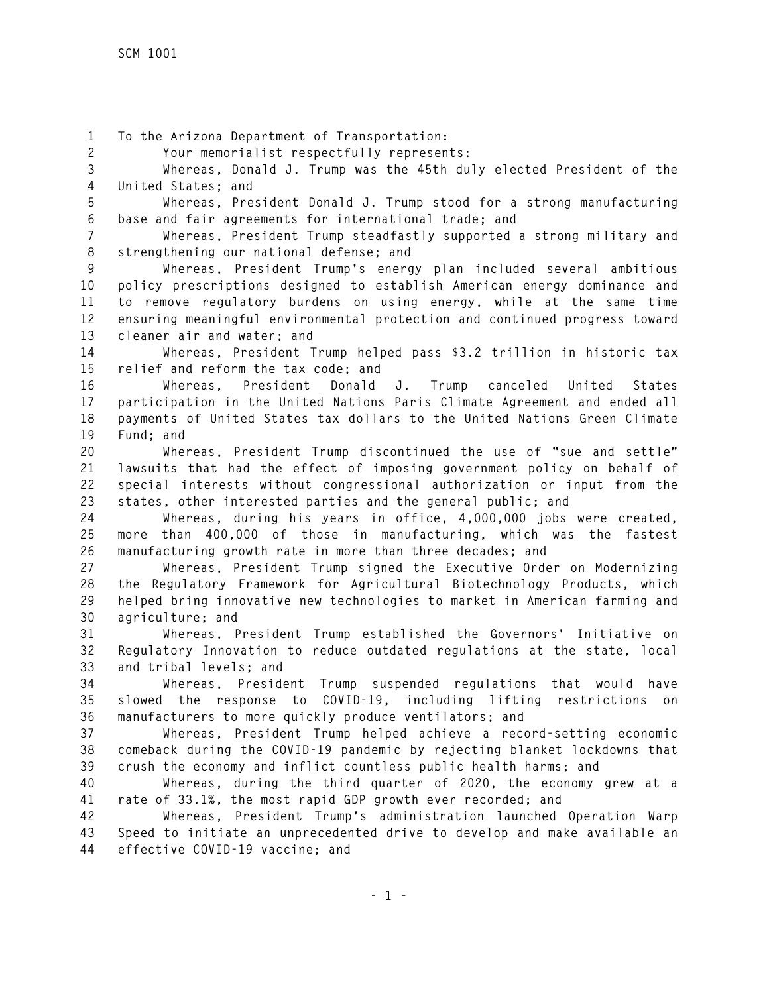**1 To the Arizona Department of Transportation:** 

**2 Your memorialist respectfully represents:** 

**3 Whereas, Donald J. Trump was the 45th duly elected President of the 4 United States; and** 

**5 Whereas, President Donald J. Trump stood for a strong manufacturing 6 base and fair agreements for international trade; and** 

**7 Whereas, President Trump steadfastly supported a strong military and 8 strengthening our national defense; and** 

**9 Whereas, President Trump's energy plan included several ambitious 10 policy prescriptions designed to establish American energy dominance and 11 to remove regulatory burdens on using energy, while at the same time 12 ensuring meaningful environmental protection and continued progress toward 13 cleaner air and water; and** 

**14 Whereas, President Trump helped pass \$3.2 trillion in historic tax 15 relief and reform the tax code; and** 

**16 Whereas, President Donald J. Trump canceled United States 17 participation in the United Nations Paris Climate Agreement and ended all 18 payments of United States tax dollars to the United Nations Green Climate 19 Fund; and** 

**20 Whereas, President Trump discontinued the use of "sue and settle" 21 lawsuits that had the effect of imposing government policy on behalf of 22 special interests without congressional authorization or input from the 23 states, other interested parties and the general public; and** 

**24 Whereas, during his years in office, 4,000,000 jobs were created, 25 more than 400,000 of those in manufacturing, which was the fastest 26 manufacturing growth rate in more than three decades; and** 

**27 Whereas, President Trump signed the Executive Order on Modernizing 28 the Regulatory Framework for Agricultural Biotechnology Products, which 29 helped bring innovative new technologies to market in American farming and 30 agriculture; and** 

**31 Whereas, President Trump established the Governors' Initiative on 32 Regulatory Innovation to reduce outdated regulations at the state, local 33 and tribal levels; and** 

**34 Whereas, President Trump suspended regulations that would have 35 slowed the response to COVID-19, including lifting restrictions on 36 manufacturers to more quickly produce ventilators; and** 

**37 Whereas, President Trump helped achieve a record-setting economic 38 comeback during the COVID-19 pandemic by rejecting blanket lockdowns that 39 crush the economy and inflict countless public health harms; and** 

**40 Whereas, during the third quarter of 2020, the economy grew at a 41 rate of 33.1%, the most rapid GDP growth ever recorded; and** 

**42 Whereas, President Trump's administration launched Operation Warp 43 Speed to initiate an unprecedented drive to develop and make available an 44 effective COVID-19 vaccine; and**